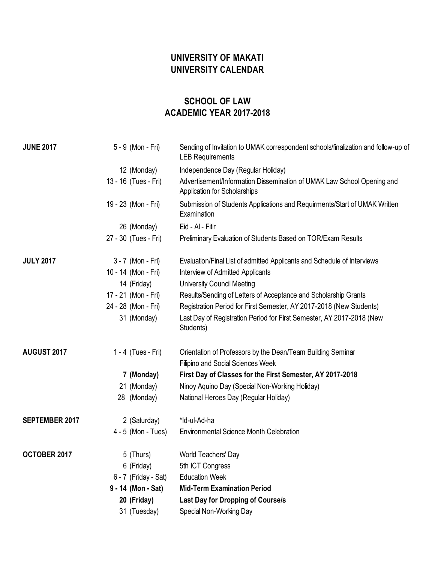## **UNIVERSITY OF MAKATI UNIVERSITY CALENDAR**

## **SCHOOL OF LAW ACADEMIC YEAR 2017-2018**

| <b>JUNE 2017</b>      | 5 - 9 (Mon - Fri)    | Sending of Invitation to UMAK correspondent schools/finalization and follow-up of<br><b>LEB Requirements</b> |
|-----------------------|----------------------|--------------------------------------------------------------------------------------------------------------|
|                       | 12 (Monday)          | Independence Day (Regular Holiday)                                                                           |
|                       | 13 - 16 (Tues - Fri) | Advertisement/Information Dissemination of UMAK Law School Opening and<br>Application for Scholarships       |
|                       | 19 - 23 (Mon - Fri)  | Submission of Students Applications and Requirments/Start of UMAK Written<br>Examination                     |
|                       | 26 (Monday)          | Eid - Al - Fitir                                                                                             |
|                       | 27 - 30 (Tues - Fri) | Preliminary Evaluation of Students Based on TOR/Exam Results                                                 |
| <b>JULY 2017</b>      | 3 - 7 (Mon - Fri)    | Evaluation/Final List of admitted Applicants and Schedule of Interviews                                      |
|                       | 10 - 14 (Mon - Fri)  | Interview of Admitted Applicants                                                                             |
|                       | 14 (Friday)          | <b>University Council Meeting</b>                                                                            |
|                       | 17 - 21 (Mon - Fri)  | Results/Sending of Letters of Acceptance and Scholarship Grants                                              |
|                       | 24 - 28 (Mon - Fri)  | Registration Period for First Semester, AY 2017-2018 (New Students)                                          |
|                       | 31 (Monday)          | Last Day of Registration Period for First Semester, AY 2017-2018 (New<br>Students)                           |
| AUGUST 2017           | 1 - 4 (Tues - Fri)   | Orientation of Professors by the Dean/Team Building Seminar                                                  |
|                       |                      | Filipino and Social Sciences Week                                                                            |
|                       | 7 (Monday)           | First Day of Classes for the First Semester, AY 2017-2018                                                    |
|                       | 21 (Monday)          | Ninoy Aquino Day (Special Non-Working Holiday)                                                               |
|                       | 28 (Monday)          | National Heroes Day (Regular Holiday)                                                                        |
| <b>SEPTEMBER 2017</b> | 2 (Saturday)         | *Id-ul-Ad-ha                                                                                                 |
|                       | $4 - 5$ (Mon - Tues) | <b>Environmental Science Month Celebration</b>                                                               |
| OCTOBER 2017          | 5 (Thurs)            | World Teachers' Day                                                                                          |
|                       | 6 (Friday)           | 5th ICT Congress                                                                                             |
|                       | 6 - 7 (Friday - Sat) | <b>Education Week</b>                                                                                        |
|                       | 9 - 14 (Mon - Sat)   | <b>Mid-Term Examination Period</b>                                                                           |
|                       | 20 (Friday)          | <b>Last Day for Dropping of Course/s</b>                                                                     |
|                       | 31 (Tuesday)         | Special Non-Working Day                                                                                      |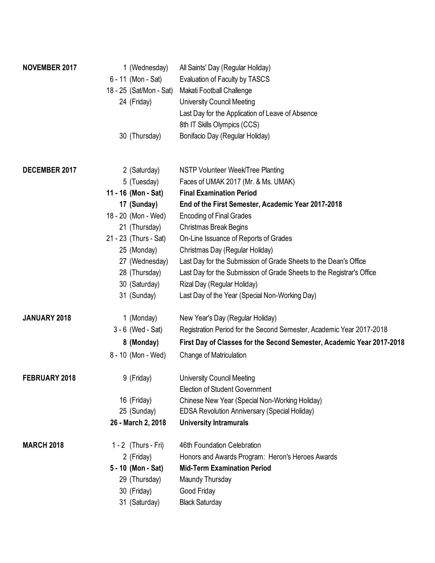| NOVEMBER 2017     | 1 (Wednesday)           | All Saints' Day (Regular Holiday)                                     |
|-------------------|-------------------------|-----------------------------------------------------------------------|
|                   | 6 - 11 (Mon - Sat)      | Evaluation of Faculty by TASCS                                        |
|                   | 18 - 25 (Sat/Mon - Sat) | Makati Football Challenge                                             |
|                   | 24 (Friday)             | <b>University Council Meeting</b>                                     |
|                   |                         | Last Day for the Application of Leave of Absence                      |
|                   |                         | 8th IT Skills Olympics (CCS)                                          |
|                   | 30 (Thursday)           | Bonifacio Day (Regular Holiday)                                       |
|                   |                         |                                                                       |
| DECEMBER 2017     | 2 (Saturday)            | NSTP Volunteer Week/Tree Planting                                     |
|                   | 5 (Tuesday)             | Faces of UMAK 2017 (Mr. & Ms. UMAK)                                   |
|                   | 11 - 16 (Mon - Sat)     | <b>Final Examination Period</b>                                       |
|                   | 17 (Sunday)             | End of the First Semester, Academic Year 2017-2018                    |
|                   | 18 - 20 (Mon - Wed)     | <b>Encoding of Final Grades</b>                                       |
|                   | 21 (Thursday)           | Christmas Break Begins                                                |
|                   | 21 - 23 (Thurs - Sat)   | On-Line Issuance of Reports of Grades                                 |
|                   | 25 (Monday)             | Christmas Day (Regular Holiday)                                       |
|                   | 27 (Wednesday)          | Last Day for the Submission of Grade Sheets to the Dean's Office      |
|                   | 28 (Thursday)           | Last Day for the Submission of Grade Sheets to the Registrar's Office |
|                   | 30 (Saturday)           | Rizal Day (Regular Holiday)                                           |
|                   | 31 (Sunday)             | Last Day of the Year (Special Non-Working Day)                        |
| JANUARY 2018      | 1 (Monday)              | New Year's Day (Regular Holiday)                                      |
|                   | $3 - 6$ (Wed - Sat)     | Registration Period for the Second Semester, Academic Year 2017-2018  |
|                   | 8 (Monday)              | First Day of Classes for the Second Semester, Academic Year 2017-2018 |
|                   | 8 - 10 (Mon - Wed)      | Change of Matriculation                                               |
| FEBRUARY 2018     | 9 (Friday)              | <b>University Council Meeting</b>                                     |
|                   |                         | <b>Election of Student Government</b>                                 |
|                   | 16 (Friday)             | Chinese New Year (Special Non-Working Holiday)                        |
|                   | 25 (Sunday)             | <b>EDSA Revolution Anniversary (Special Holiday)</b>                  |
|                   | 26 - March 2, 2018      | <b>University Intramurals</b>                                         |
| <b>MARCH 2018</b> | $1 - 2$ (Thurs - Fri)   | 46th Foundation Celebration                                           |
|                   | 2 (Friday)              | Honors and Awards Program: Heron's Heroes Awards                      |
|                   | 5 - 10 (Mon - Sat)      | <b>Mid-Term Examination Period</b>                                    |
|                   | 29 (Thursday)           | Maundy Thursday                                                       |
|                   | 30 (Friday)             | Good Friday                                                           |
|                   | 31 (Saturday)           | <b>Black Saturday</b>                                                 |